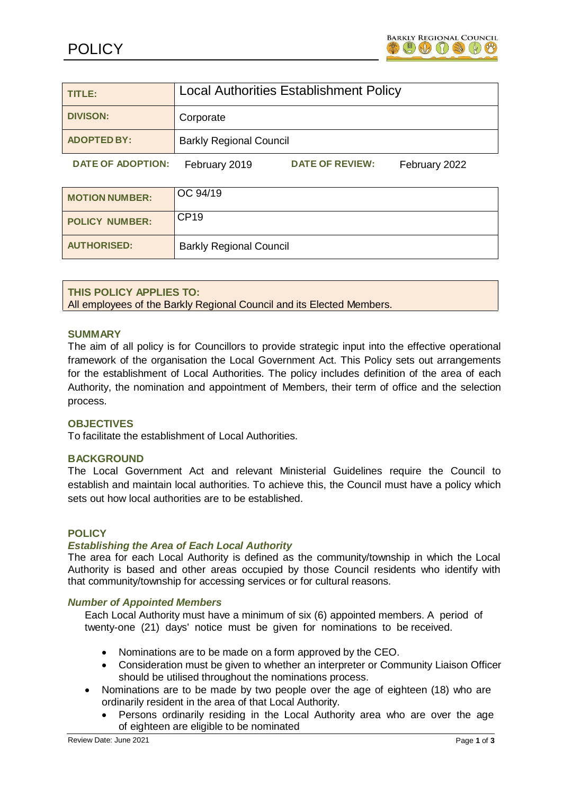

| TITLE:                   | <b>Local Authorities Establishment Policy</b> |                        |               |
|--------------------------|-----------------------------------------------|------------------------|---------------|
| <b>DIVISON:</b>          | Corporate                                     |                        |               |
| <b>ADOPTED BY:</b>       | <b>Barkly Regional Council</b>                |                        |               |
| <b>DATE OF ADOPTION:</b> | February 2019                                 | <b>DATE OF REVIEW:</b> | February 2022 |

| <b>MOTION NUMBER:</b> | OC 94/19                       |
|-----------------------|--------------------------------|
| <b>POLICY NUMBER:</b> | <b>CP19</b>                    |
| <b>AUTHORISED:</b>    | <b>Barkly Regional Council</b> |

## **THIS POLICY APPLIES TO:**

All employees of the Barkly Regional Council and its Elected Members.

### **SUMMARY**

The aim of all policy is for Councillors to provide strategic input into the effective operational framework of the organisation the Local Government Act. This Policy sets out arrangements for the establishment of Local Authorities. The policy includes definition of the area of each Authority, the nomination and appointment of Members, their term of office and the selection process.

## **OBJECTIVES**

To facilitate the establishment of Local Authorities.

#### **BACKGROUND**

The Local Government Act and relevant Ministerial Guidelines require the Council to establish and maintain local authorities. To achieve this, the Council must have a policy which sets out how local authorities are to be established.

#### **POLICY**

#### *Establishing the Area of Each Local Authority*

The area for each Local Authority is defined as the community/township in which the Local Authority is based and other areas occupied by those Council residents who identify with that community/township for accessing services or for cultural reasons.

#### *Number of Appointed Members*

Each Local Authority must have a minimum of six (6) appointed members. A period of twenty-one (21) days' notice must be given for nominations to be received.

- Nominations are to be made on a form approved by the CEO.
- Consideration must be given to whether an interpreter or Community Liaison Officer should be utilised throughout the nominations process.
- Nominations are to be made by two people over the age of eighteen (18) who are ordinarily resident in the area of that Local Authority.
	- Persons ordinarily residing in the Local Authority area who are over the age of eighteen are eligible to be nominated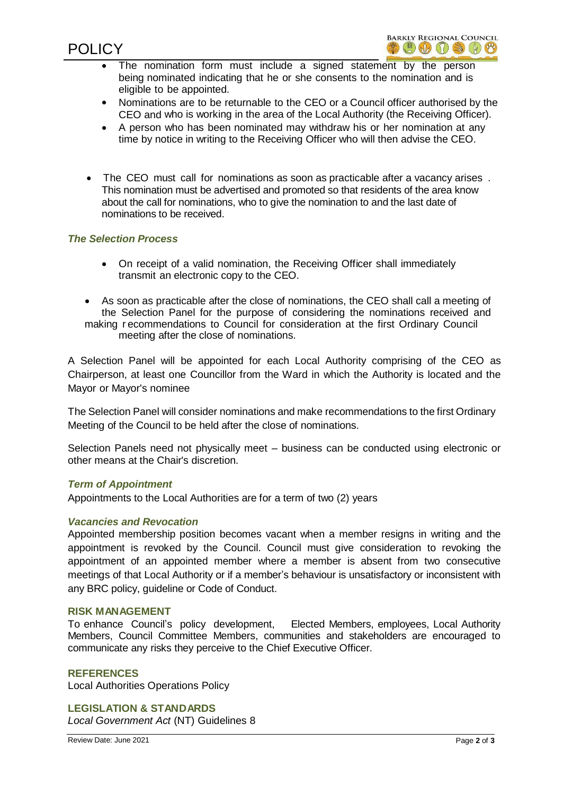

- The nomination form must include a signed statement by the person being nominated indicating that he or she consents to the nomination and is eligible to be appointed.
- Nominations are to be returnable to the CEO or a Council officer authorised by the CEO and who is working in the area of the Local Authority (the Receiving Officer).
- A person who has been nominated may withdraw his or her nomination at any time by notice in writing to the Receiving Officer who will then advise the CEO.
- The CEO must call for nominations as soon as practicable after a vacancy arises . This nomination must be advertised and promoted so that residents of the area know about the call for nominations, who to give the nomination to and the last date of nominations to be received.

### *The Selection Process*

- On receipt of a valid nomination, the Receiving Officer shall immediately transmit an electronic copy to the CEO.
- As soon as practicable after the close of nominations, the CEO shall call a meeting of the Selection Panel for the purpose of considering the nominations received and making r ecommendations to Council for consideration at the first Ordinary Council meeting after the close of nominations.

A Selection Panel will be appointed for each Local Authority comprising of the CEO as Chairperson, at least one Councillor from the Ward in which the Authority is located and the Mayor or Mayor's nominee

The Selection Panel will consider nominations and make recommendations to the first Ordinary Meeting of the Council to be held after the close of nominations.

Selection Panels need not physically meet – business can be conducted using electronic or other means at the Chair's discretion.

#### *Term of Appointment*

Appointments to the Local Authorities are for a term of two (2) years

#### *Vacancies and Revocation*

Appointed membership position becomes vacant when a member resigns in writing and the appointment is revoked by the Council. Council must give consideration to revoking the appointment of an appointed member where a member is absent from two consecutive meetings of that Local Authority or if a member's behaviour is unsatisfactory or inconsistent with any BRC policy, guideline or Code of Conduct.

#### **RISK MANAGEMENT**

To enhance Council's policy development, Elected Members, employees, Local Authority Members, Council Committee Members, communities and stakeholders are encouraged to communicate any risks they perceive to the Chief Executive Officer.

#### **REFERENCES**

Local Authorities Operations Policy

**LEGISLATION & STANDARDS** *Local Government Act* (NT) Guidelines 8